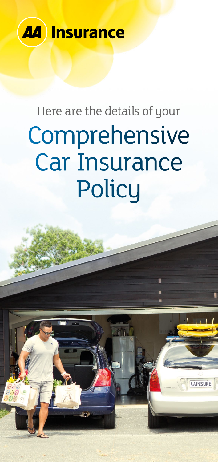

# Here are the details of your Comprehensive Car Insurance **Policy**

fill.

**AAINSURF**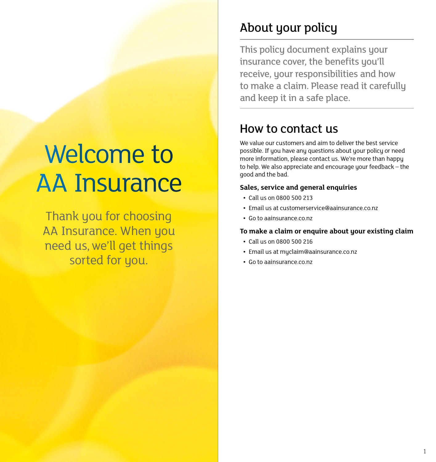# <span id="page-1-0"></span>Welcome to AA Insurance

Thank you for choosing AA Insurance. When you need us, we'll get things sorted for you.

## About your policy

This policy document explains your insurance cover, the benefits you'll receive, your responsibilities and how to make a claim. Please read it carefully and keep it in a safe place.

### How to contact us

We value our customers and aim to deliver the best service possible. If you have any questions about your policy or need more information, please contact us. We're more than happy to help. We also appreciate and encourage your feedback – the good and the bad.

#### **Sales, service and general enquiries**

- **•** Call us on 0800 500 213
- **•** Email us at [customerservice@aainsurance.co.nz](mailto:customerservice%40aainsurance.co.nz?subject=)
- **•** Go to [aainsurance.co.nz](http://aainsurance.co.nz)

#### **To make a claim or enquire about your existing claim**

- **•** Call us on 0800 500 216
- **•** Email us at [myclaim@aainsurance.co.nz](mailto:myclaim%40aainsurance.co.nz?subject=)
- **•** Go to [aainsurance.co.nz](http://aainsurance.co.nz)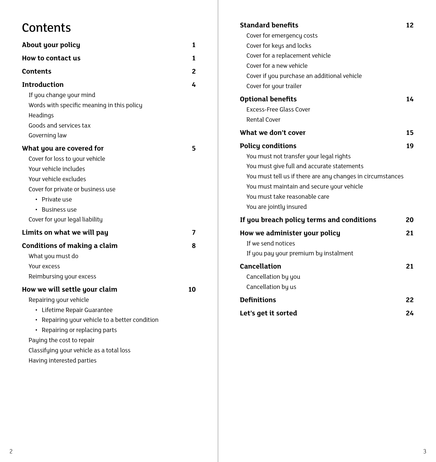## **Contents**

| About your policy                                                                                                            | 1  |
|------------------------------------------------------------------------------------------------------------------------------|----|
| How to contact us                                                                                                            | 1  |
| Contents                                                                                                                     | 2  |
| <b>Introduction</b>                                                                                                          | 4  |
| If you change your mind<br>Words with specific meaning in this policy<br>Headings<br>Goods and services tax<br>Governing law |    |
| What you are covered for                                                                                                     | 5  |
| Cover for loss to your vehicle                                                                                               |    |
| Your vehicle includes                                                                                                        |    |
| Your vehicle excludes                                                                                                        |    |
| Cover for private or business use                                                                                            |    |
| • Private use                                                                                                                |    |
| <b>Business use</b><br>٠                                                                                                     |    |
| Cover for your legal liability                                                                                               |    |
| Limits on what we will pay                                                                                                   | 7  |
| <b>Conditions of making a claim</b>                                                                                          | Զ  |
| What you must do                                                                                                             |    |
| Your excess                                                                                                                  |    |
| Reimbursing your excess                                                                                                      |    |
| How we will settle your claim                                                                                                | 10 |
| Repairing your vehicle                                                                                                       |    |
| Lifetime Repair Guarantee<br>$\bullet$                                                                                       |    |
| • Repairing your vehicle to a better condition                                                                               |    |
| • Repairing or replacing parts                                                                                               |    |
| Paying the cost to repair                                                                                                    |    |
| Classifying your vehicle as a total loss                                                                                     |    |
| Having interested parties                                                                                                    |    |

| <b>Standard benefits</b>                                   | 12 |
|------------------------------------------------------------|----|
| Cover for emergency costs                                  |    |
| Cover for keys and locks                                   |    |
| Cover for a replacement vehicle                            |    |
| Cover for a new vehicle                                    |    |
| Cover if you purchase an additional vehicle                |    |
| Cover for your trailer                                     |    |
| <b>Optional benefits</b>                                   | 14 |
| <b>Excess-Free Glass Cover</b>                             |    |
| <b>Rental Cover</b>                                        |    |
| What we don't cover                                        | 15 |
| <b>Policy conditions</b>                                   | 19 |
| You must not transfer your legal rights                    |    |
| You must give full and accurate statements                 |    |
| You must tell us if there are any changes in circumstances |    |
| You must maintain and secure your vehicle                  |    |
| You must take reasonable care                              |    |
| You are jointly insured                                    |    |
| If you breach policy terms and conditions                  | 20 |
| How we administer your policy                              | 21 |
| If we send notices                                         |    |
| If you pay your premium by instalment                      |    |
| Cancellation                                               | 21 |
| Cancellation by you                                        |    |
| Cancellation by us                                         |    |
| <b>Definitions</b>                                         | 22 |
| Let's get it sorted                                        | 24 |
|                                                            |    |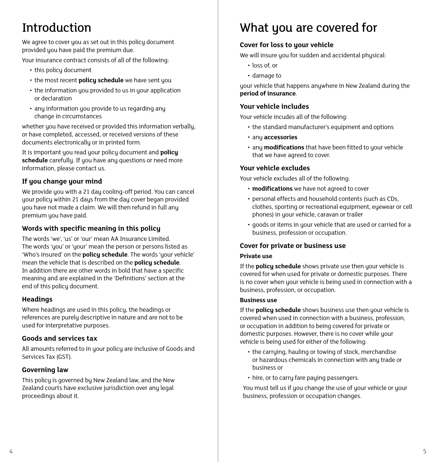# <span id="page-3-0"></span>Introduction

We agree to cover you as set out in this policy document provided you have paid the premium due.

Your insurance contract consists of all of the following:

- this policu document
- the most recent **policy schedule** we have sent you
- the information you provided to us in your application or declaration
- any information you provide to us regarding any change in circumstances

whether you have received or provided this information verbally, or have completed, accessed, or received versions of these documents electronically or in printed form.

It is important you read your policy document and **policy**  schedule carefully. If you have any questions or need more information, please contact us.

#### **If you change your mind**

We provide you with a 21 day cooling-off period. You can cancel your policy within 21 days from the day cover began provided you have not made a claim. We will then refund in full any premium you have paid.

#### **Words with specific meaning in this policy**

The words 'we', 'us' or 'our' mean AA Insurance Limited. The words 'you' or 'your' mean the person or persons listed as 'Who's insured' on the **policy schedule**. The words 'your vehicle' mean the vehicle that is described on the **policy schedule**. In addition there are other words in bold that have a specific meaning and are explained in the 'Definitions' section at the end of this policy document.

#### **Headings**

Where headings are used in this policy, the headings or references are purely descriptive in nature and are not to be used for interpretative purposes.

#### **Goods and services tax**

All amounts referred to in your policy are inclusive of Goods and Services Tax (GST).

#### **Governing law**

This policy is governed by New Zealand law, and the New Zealand courts have exclusive jurisdiction over any legal proceedings about it.

### What you are covered for

#### **Cover for loss to your vehicle**

We will insure you for sudden and accidental physical:

- loss of, or
- damage to

your vehicle that happens anywhere in New Zealand during the **period of insurance**.

#### **Your vehicle includes**

Your vehicle incudes all of the following:

- the standard manufacturer's equipment and options
- any **accessories**
- any **modifications** that have been fitted to your vehicle that we have agreed to cover.

#### **Your vehicle excludes**

Your vehicle excludes all of the following:

- **modifications** we have not agreed to cover
- personal effects and household contents (such as CDs, clothes, sporting or recreational equipment, eyewear or cell phones) in your vehicle, caravan or trailer
- goods or items in your vehicle that are used or carried for a business, profession or occupation.

#### **Cover for private or business use**

#### **Private use**

If the **policy schedule** shows private use then your vehicle is covered for when used for private or domestic purposes. There is no cover when your vehicle is being used in connection with a business, profession, or occupation.

#### **Business use**

If the **policy schedule** shows business use then your vehicle is covered when used in connection with a business, profession, or occupation in addition to being covered for private or domestic purposes. However, there is no cover while your vehicle is being used for either of the following:

- the carrying, hauling or towing of stock, merchandise or hazardous chemicals in connection with any trade or business or
- hire, or to carry fare paying passengers.

You must tell us if you change the use of your vehicle or your business, profession or occupation changes.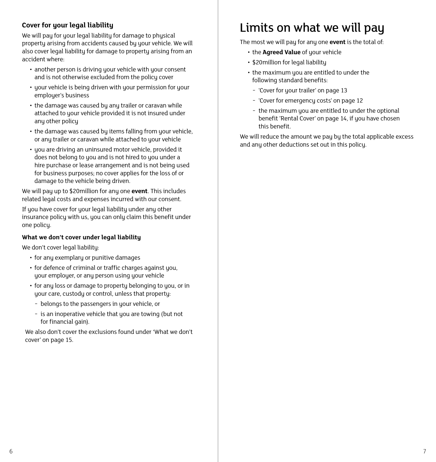#### <span id="page-4-0"></span>**Cover for your legal liability**

We will pay for your legal liability for damage to physical property arising from accidents caused by your vehicle. We will also cover legal liability for damage to property arising from an accident where:

- another person is driving your vehicle with your consent and is not otherwise excluded from the policy cover
- your vehicle is being driven with your permission for your emplouer's business
- the damage was caused by any trailer or caravan while attached to your vehicle provided it is not insured under any other policy
- the damage was caused by items falling from your vehicle. or any trailer or caravan while attached to your vehicle
- you are driving an uninsured motor vehicle, provided it does not belong to you and is not hired to you under a hire purchase or lease arrangement and is not being used for business purposes; no cover applies for the loss of or damage to the vehicle being driven.

We will pay up to \$20million for any one **event**. This includes related legal costs and expenses incurred with our consent.

If you have cover for your legal liability under any other insurance policy with us, you can only claim this benefit under one policy.

#### **What we don't cover under legal liability**

We don't cover legal liability:

- for any exemplary or punitive damages
- for defence of criminal or traffic charges against you, your employer, or any person using your vehicle
- for any loss or damage to property belonging to you, or in your care, custody or control, unless that property:
	- − belongs to the passengers in your vehicle, or
	- − is an inoperative vehicle that you are towing (but not for financial gain).

We also don't cover the exclusions found under 'What we don't cover' [on page 15.](#page-8-0)

### Limits on what we will pay

The most we will pay for any one **event** is the total of:

- the **Agreed Value** of your vehicle
- \$20million for legal liability
- the maximum you are entitled to under the following standard benefits:
	- − 'Cover for your trailer' [on page 13](#page-7-0)
	- − 'Cover for emergency costs' [on page 12](#page-7-0)
	- − the maximum you are entitled to under the optional benefit 'Rental Cover' [on page 14](#page-8-0), if you have chosen this benefit.

We will reduce the amount we pay by the total applicable excess and any other deductions set out in this policy.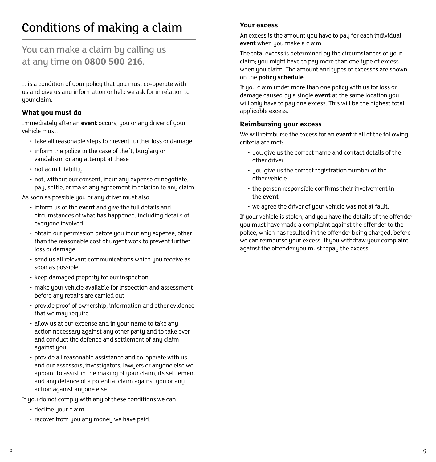### <span id="page-5-0"></span>Conditions of making a claim

### You can make a claim by calling us at any time on **0800 500 216**.

It is a condition of your policy that you must co-operate with us and give us any information or help we ask for in relation to your claim.

#### **What you must do**

Immediately after an **event** occurs, you or any driver of your vehicle must:

- take all reasonable steps to prevent further loss or damage
- inform the police in the case of theft, burglary or vandalism, or any attempt at these
- not admit liability
- not, without our consent, incur any expense or negotiate, pay, settle, or make any agreement in relation to any claim.

As soon as possible you or any driver must also:

- inform us of the **event** and give the full details and circumstances of what has happened, including details of everyone involved
- obtain our permission before you incur any expense, other than the reasonable cost of urgent work to prevent further loss or damage
- send us all relevant communications which you receive as soon as possible
- keep damaged property for our inspection
- make your vehicle available for inspection and assessment before any repairs are carried out
- provide proof of ownership, information and other evidence that we mau require
- allow us at our expense and in your name to take any action necessary against any other party and to take over and conduct the defence and settlement of any claim against you
- provide all reasonable assistance and co-operate with us and our assessors, investigators, lawyers or anyone else we appoint to assist in the making of your claim, its settlement and any defence of a potential claim against you or any action against anyone else.

If you do not comply with any of these conditions we can:

- decline your claim
- recover from you any money we have paid.

#### **Your excess**

An excess is the amount you have to pay for each individual **event** when you make a claim.

The total excess is determined by the circumstances of your claim; you might have to pay more than one type of excess when you claim. The amount and types of excesses are shown on the **policy schedule**.

If you claim under more than one policy with us for loss or damage caused by a single **event** at the same location you will only have to pay one excess. This will be the highest total applicable excess.

#### **Reimbursing your excess**

We will reimburse the excess for an **event** if all of the following criteria are met:

- you give us the correct name and contact details of the other driver
- you give us the correct registration number of the other vehicle
- the person responsible confirms their involvement in the **event**
- we agree the driver of your vehicle was not at fault.

If your vehicle is stolen, and you have the details of the offender you must have made a complaint against the offender to the police, which has resulted in the offender being charged, before we can reimburse your excess. If you withdraw your complaint against the offender you must repay the excess.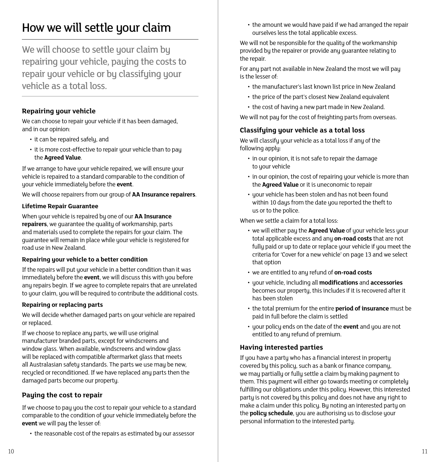### <span id="page-6-0"></span>How we will settle your claim

We will choose to settle your claim by repairing your vehicle, paying the costs to repair your vehicle or by classifying your vehicle as a total loss.

#### **Repairing your vehicle**

We can choose to repair your vehicle if it has been damaged, and in our opinion:

- it can be repaired safely, and
- it is more cost-effective to repair your vehicle than to pay the **Agreed Value**.

If we arrange to have your vehicle repaired, we will ensure your vehicle is repaired to a standard comparable to the condition of your vehicle immediately before the **event**.

We will choose repairers from our group of **AA Insurance repairers**.

#### **Lifetime Repair Guarantee**

When your vehicle is repaired by one of our **AA Insurance repairers**, we guarantee the quality of workmanship, parts and materials used to complete the repairs for your claim. The guarantee will remain in place while your vehicle is registered for road use in New Zealand.

#### **Repairing your vehicle to a better condition**

If the repairs will put your vehicle in a better condition than it was immediately before the **event**, we will discuss this with you before any repairs begin. If we agree to complete repairs that are unrelated to your claim, you will be required to contribute the additional costs.

#### **Repairing or replacing parts**

We will decide whether damaged parts on your vehicle are repaired or replaced.

If we choose to replace any parts, we will use original manufacturer branded parts, except for windscreens and window glass. When available, windscreens and window glass will be replaced with compatible aftermarket glass that meets all Australasian safetu standards. The parts we use may be new, recycled or reconditioned. If we have replaced any parts then the damaged parts become our property.

#### **Paying the cost to repair**

If we choose to pay you the cost to repair your vehicle to a standard comparable to the condition of your vehicle immediately before the **event** we will pay the lesser of:

• the reasonable cost of the repairs as estimated by our assessor

• the amount we would have paid if we had arranged the repair ourselves less the total applicable excess.

We will not be responsible for the quality of the workmanship provided by the repairer or provide any guarantee relating to the repair.

For any part not available in New Zealand the most we will pay is the lesser of:

- the manufacturer's last known list price in New Zealand
- the price of the part's closest New Zealand equivalent
- the cost of having a new part made in New Zealand.

We will not pay for the cost of freighting parts from overseas.

#### **Classifying your vehicle as a total loss**

We will classify your vehicle as a total loss if any of the following apply:

- in our opinion, it is not safe to repair the damage to your vehicle
- in our opinion, the cost of repairing your vehicle is more than the **Agreed Value** or it is uneconomic to repair
- your vehicle has been stolen and has not been found within 10 days from the date you reported the theft to us or to the police.

When we settle a claim for a total loss:

- we will either pay the **Agreed Value** of your vehicle less your total applicable excess and any **on-road costs** that are not fully paid or up to date or replace your vehicle if you meet the criteria for 'Cover for a new vehicle' [on page 13](#page-7-0) and we select that option
- we are entitled to any refund of **on-road costs**
- your vehicle, including all **modifications** and **accessories** becomes our property, this includes if it is recovered after it has been stolen
- the total premium for the entire **period of insurance** must be paid in full before the claim is settled
- your policy ends on the date of the **event** and you are not entitled to any refund of premium.

#### **Having interested parties**

If you have a party who has a financial interest in property covered by this policy, such as a bank or finance company, we may partially or fully settle a claim by making payment to them. This payment will either go towards meeting or completely fulfilling our obligations under this policy. However, this interested party is not covered by this policy and does not have any right to make a claim under this policy. By noting an interested party on the **policy schedule**, you are authorising us to disclose your personal information to the interested party.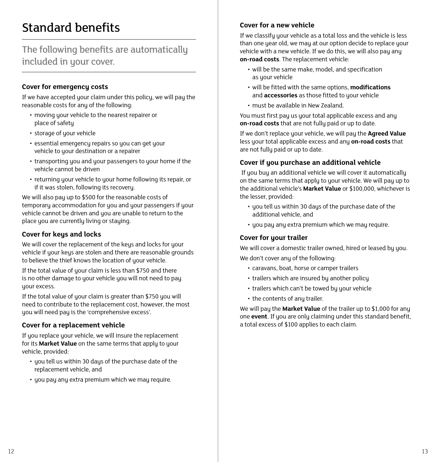## <span id="page-7-0"></span>Standard benefits

### The following benefits are automatically included in your cover.

#### **Cover for emergency costs**

If we have accepted your claim under this policy, we will pay the reasonable costs for any of the following:

- moving your vehicle to the nearest repairer or place of safety
- storage of your vehicle
- essential emergency repairs so you can get your vehicle to your destination or a repairer
- transporting you and your passengers to your home if the vehicle cannot be driven
- returning your vehicle to your home following its repair, or if it was stolen, following its recovery.

We will also pay up to \$500 for the reasonable costs of temporary accommodation for you and your passengers if your vehicle cannot be driven and you are unable to return to the place you are currently living or staying.

#### **Cover for keys and locks**

We will cover the replacement of the keys and locks for your vehicle if your keys are stolen and there are reasonable grounds to believe the thief knows the location of your vehicle.

If the total value of your claim is less than \$750 and there is no other damage to your vehicle you will not need to pay your excess.

If the total value of your claim is greater than \$750 you will need to contribute to the replacement cost, however, the most you will need pay is the 'comprehensive excess'.

#### **Cover for a replacement vehicle**

If you replace your vehicle, we will insure the replacement for its **Market Value** on the same terms that apply to your vehicle, provided:

- you tell us within 30 days of the purchase date of the replacement vehicle, and
- you pay any extra premium which we may require.

#### **Cover for a new vehicle**

If we classify your vehicle as a total loss and the vehicle is less than one year old, we may at our option decide to replace your vehicle with a new vehicle. If we do this, we will also pay any **on-road costs**. The replacement vehicle:

- will be the same make, model, and specification as your vehicle
- will be fitted with the same options, **modifications** and **accessories** as those fitted to your vehicle
- must be available in New Zealand.

You must first pay us your total applicable excess and any **on-road costs** that are not fully paid or up to date.

If we don't replace your vehicle, we will pay the **Agreed Value** less your total applicable excess and any **on-road costs** that are not fully paid or up to date.

#### **Cover if you purchase an additional vehicle**

 If you buy an additional vehicle we will cover it automatically on the same terms that apply to your vehicle. We will pay up to the additional vehicle's **Market Value** or \$100,000, whichever is the lesser, provided:

- you tell us within 30 days of the purchase date of the additional vehicle, and
- you pay any extra premium which we may require.

#### **Cover for your trailer**

We will cover a domestic trailer owned, hired or leased by you. We don't cover any of the following:

- caravans, boat, horse or camper trailers
- trailers which are insured by another policy
- trailers which can't be towed bu your vehicle
- the contents of any trailer.

We will pay the **Market Value** of the trailer up to \$1,000 for any one **event**. If you are only claiming under this standard benefit, a total excess of \$100 applies to each claim.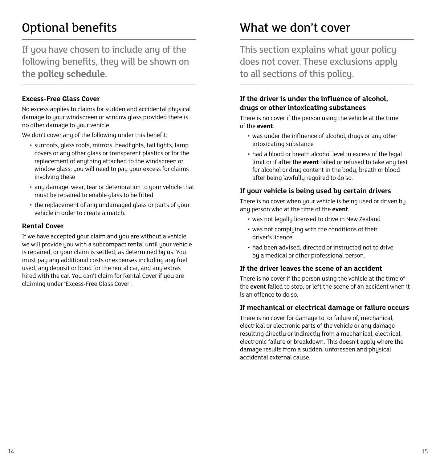# <span id="page-8-0"></span>Optional benefits

If you have chosen to include any of the following benefits, they will be shown on the **policy schedule**.

#### **Excess-Free Glass Cover**

No excess applies to claims for sudden and accidental physical damage to your windscreen or window glass provided there is no other damage to your vehicle.

We don't cover any of the following under this benefit:

- sunroofs, glass roofs, mirrors, headlights, tail lights, lamp covers or any other glass or transparent plastics or for the replacement of anything attached to the windscreen or window glass; you will need to pay your excess for claims involving these
- any damage, wear, tear or deterioration to your vehicle that must be repaired to enable glass to be fitted
- the replacement of any undamaged glass or parts of your vehicle in order to create a match.

#### **Rental Cover**

If we have accepted your claim and you are without a vehicle, we will provide you with a subcompact rental until your vehicle is repaired, or your claim is settled, as determined by us. You must pay any additional costs or expenses including any fuel used, any deposit or bond for the rental car, and any extras hired with the car. You can't claim for Rental Cover if you are claiming under 'Excess-Free Glass Cover'.

### What we don't cover

This section explains what your policy does not cover. These exclusions apply to all sections of this policy.

#### **If the driver is under the influence of alcohol, drugs or other intoxicating substances**

There is no cover if the person using the vehicle at the time of the **event**:

- was under the influence of alcohol, drugs or any other intoxicating substance
- had a blood or breath alcohol level in excess of the legal limit or if after the **event** failed or refused to take any test for alcohol or drug content in the body, breath or blood after being lawfully required to do so.

#### **If your vehicle is being used by certain drivers**

There is no cover when your vehicle is being used or driven by any person who at the time of the **event**:

- was not legally licensed to drive in New Zealand
- was not complying with the conditions of their driver's licence
- had been advised, directed or instructed not to drive by a medical or other professional person.

#### **If the driver leaves the scene of an accident**

There is no cover if the person using the vehicle at the time of the **event** failed to stop, or left the scene of an accident when it is an offence to do so.

#### **If mechanical or electrical damage or failure occurs**

There is no cover for damage to, or failure of, mechanical, electrical or electronic parts of the vehicle or any damage resulting directly or indirectly from a mechanical, electrical, electronic failure or breakdown. This doesn't apply where the damage results from a sudden, unforeseen and physical accidental external cause.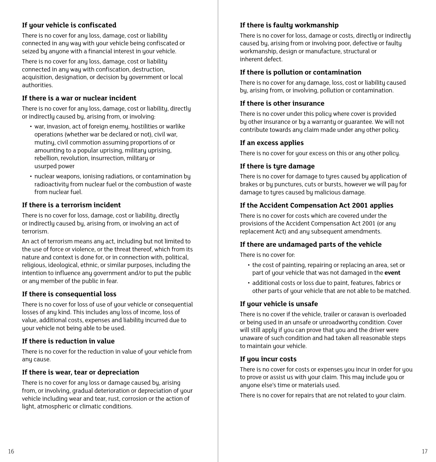#### **If your vehicle is confiscated**

There is no cover for any loss, damage, cost or liability connected in any way with your vehicle being confiscated or seized by anyone with a financial interest in your vehicle.

There is no cover for any loss, damage, cost or liability connected in any way with confiscation, destruction, acquisition, designation, or decision by government or local authorities.

#### **If there is a war or nuclear incident**

There is no cover for any loss, damage, cost or liability, directly or indirectly caused by, arising from, or involving:

- war, invasion, act of foreign enemy, hostilities or warlike operations (whether war be declared or not), civil war, mutiny, civil commotion assuming proportions of or amounting to a popular uprising, military uprising, rebellion, revolution, insurrection, military or usurped power
- nuclear weapons, ionising radiations, or contamination by radioactivity from nuclear fuel or the combustion of waste from nuclear fuel.

#### **If there is a terrorism incident**

There is no cover for loss, damage, cost or liability, directly or indirectly caused by, arising from, or involving an act of terrorism.

An act of terrorism means any act, including but not limited to the use of force or violence, or the threat thereof, which from its nature and context is done for, or in connection with, political, religious, ideological, ethnic, or similar purposes, including the intention to influence any government and/or to put the public or any member of the public in fear.

#### **If there is consequential loss**

There is no cover for loss of use of your vehicle or consequential losses of any kind. This includes any loss of income, loss of value, additional costs, expenses and liability incurred due to your vehicle not being able to be used.

#### **If there is reduction in value**

There is no cover for the reduction in value of your vehicle from anu cause.

#### **If there is wear, tear or depreciation**

There is no cover for any loss or damage caused by, arising from, or involving, gradual deterioration or depreciation of your vehicle including wear and tear, rust, corrosion or the action of light, atmospheric or climatic conditions.

#### **If there is faulty workmanship**

There is no cover for loss, damage or costs, directly or indirectly caused by, arising from or involving poor, defective or faulty workmanship, design or manufacture, structural or inherent defect.

#### **If there is pollution or contamination**

There is no cover for any damage, loss, cost or liability caused by, arising from, or involving, pollution or contamination.

#### **If there is other insurance**

There is no cover under this policu where cover is provided by other insurance or by a warranty or guarantee. We will not contribute towards any claim made under any other policy.

#### **If an excess applies**

There is no cover for your excess on this or any other policy.

#### **If there is tyre damage**

There is no cover for damage to tyres caused by application of brakes or by punctures, cuts or bursts, however we will pay for damage to tyres caused by malicious damage.

#### **If the Accident Compensation Act 2001 applies**

There is no cover for costs which are covered under the provisions of the Accident Compensation Act 2001 (or any replacement Act) and any subsequent amendments.

#### **If there are undamaged parts of the vehicle**

There is no cover for:

- the cost of painting, repairing or replacing an area, set or part of your vehicle that was not damaged in the **event**
- additional costs or loss due to paint, features, fabrics or other parts of your vehicle that are not able to be matched.

#### **If your vehicle is unsafe**

There is no cover if the vehicle, trailer or caravan is overloaded or being used in an unsafe or unroadworthy condition. Cover will still apply if you can prove that you and the driver were unaware of such condition and had taken all reasonable steps to maintain your vehicle.

#### **If you incur costs**

There is no cover for costs or expenses you incur in order for you to prove or assist us with your claim. This may include you or anyone else's time or materials used.

There is no cover for repairs that are not related to your claim.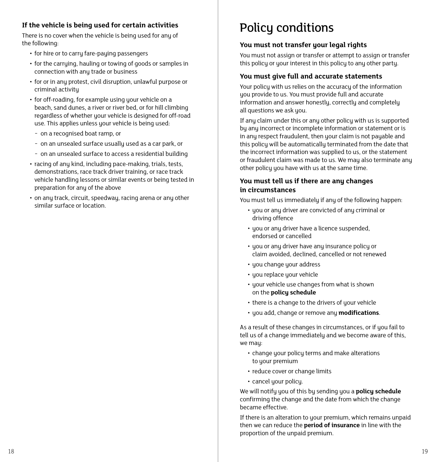#### <span id="page-10-0"></span>**If the vehicle is being used for certain activities**

There is no cover when the vehicle is being used for any of the following:

- for hire or to carry fare-paying passengers
- for the carrying, hauling or towing of goods or samples in connection with any trade or business
- for or in any protest, civil disruption, unlawful purpose or criminal activity
- for off-roading, for example using your vehicle on a beach, sand dunes, a river or river bed, or for hill climbing regardless of whether your vehicle is designed for off-road use. This applies unless your vehicle is being used:
	- − on a recognised boat ramp, or
	- − on an unsealed surface usually used as a car park, or
	- − on an unsealed surface to access a residential building
- racing of any kind, including pace-making, trials, tests, demonstrations, race track driver training, or race track vehicle handling lessons or similar events or being tested in preparation for any of the above
- on any track, circuit, speedway, racing arena or any other similar surface or location.

### Policy conditions

#### **You must not transfer your legal rights**

You must not assign or transfer or attempt to assign or transfer this policu or your interest in this policu to any other party.

#### **You must give full and accurate statements**

Your policy with us relies on the accuracy of the information you provide to us. You must provide full and accurate information and answer honestly, correctly and completely all questions we ask you.

If any claim under this or any other policy with us is supported by any incorrect or incomplete information or statement or is in any respect fraudulent, then your claim is not payable and this policy will be automatically terminated from the date that the incorrect information was supplied to us, or the statement or fraudulent claim was made to us. We mau also terminate anu other policy you have with us at the same time.

#### **You must tell us if there are any changes in circumstances**

You must tell us immediately if any of the following happen:

- you or any driver are convicted of any criminal or driving offence
- you or any driver have a licence suspended, endorsed or cancelled
- you or any driver have any insurance policy or claim avoided, declined, cancelled or not renewed
- you change your address
- you replace your vehicle
- your vehicle use changes from what is shown on the **policy schedule**
- there is a change to the drivers of your vehicle
- you add, change or remove any **modifications**.

As a result of these changes in circumstances, or if you fail to tell us of a change immediately and we become aware of this, we may:

- change your policy terms and make alterations to your premium
- reduce cover or change limits
- cancel your policy.

We will notifu you of this by sending you a **policy schedule** confirming the change and the date from which the change became effective.

If there is an alteration to your premium, which remains unpaid then we can reduce the **period of insurance** in line with the proportion of the unpaid premium.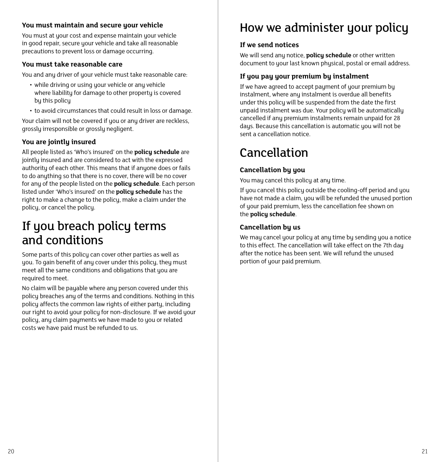#### <span id="page-11-0"></span>**You must maintain and secure your vehicle**

You must at your cost and expense maintain your vehicle in good repair, secure your vehicle and take all reasonable precautions to prevent loss or damage occurring.

#### **You must take reasonable care**

You and any driver of your vehicle must take reasonable care:

- while driving or using your vehicle or any vehicle where liability for damage to other property is covered by this policy
- to avoid circumstances that could result in loss or damage.

Your claim will not be covered if you or any driver are reckless, grossly irresponsible or grossly negligent.

#### **You are jointly insured**

All people listed as 'Who's insured' on the **policy schedule** are jointly insured and are considered to act with the expressed authority of each other. This means that if anyone does or fails to do anything so that there is no cover, there will be no cover for any of the people listed on the **policy schedule**. Each person listed under 'Who's insured' on the **policy schedule** has the right to make a change to the policy, make a claim under the policy, or cancel the policy.

### If you breach policy terms and conditions

Some parts of this policy can cover other parties as well as you. To gain benefit of any cover under this policy, they must meet all the same conditions and obligations that you are required to meet.

No claim will be payable where any person covered under this policy breaches any of the terms and conditions. Nothing in this policy affects the common law rights of either party, including our right to avoid your policy for non-disclosure. If we avoid your policy, any claim payments we have made to you or related costs we have paid must be refunded to us.

### How we administer your policy

#### **If we send notices**

We will send any notice, **policy schedule** or other written document to your last known physical, postal or email address.

#### **If you pay your premium by instalment**

If we have agreed to accept payment of your premium by instalment, where any instalment is overdue all benefits under this policy will be suspended from the date the first unpaid instalment was due. Your policy will be automatically cancelled if any premium instalments remain unpaid for 28 days. Because this cancellation is automatic you will not be sent a cancellation notice.

### Cancellation

#### **Cancellation by you**

You may cancel this policy at any time.

If you cancel this policy outside the cooling-off period and you have not made a claim, you will be refunded the unused portion of your paid premium, less the cancellation fee shown on the **policy schedule**.

#### **Cancellation by us**

We may cancel your policy at any time by sending you a notice to this effect. The cancellation will take effect on the 7th day after the notice has been sent. We will refund the unused portion of your paid premium.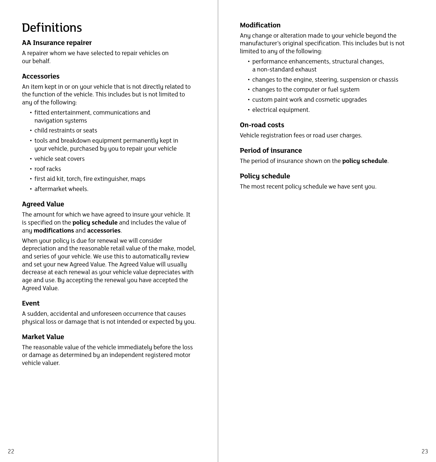## <span id="page-12-0"></span>**Definitions**

#### **AA Insurance repairer**

A repairer whom we have selected to repair vehicles on our behalf.

#### **Accessories**

An item kept in or on your vehicle that is not directly related to the function of the vehicle. This includes but is not limited to any of the following:

- fitted entertainment, communications and navigation systems
- child restraints or seats
- tools and breakdown equipment permanently kept in your vehicle, purchased by you to repair your vehicle
- vehicle seat covers
- roof racks
- first aid kit, torch, fire extinguisher, maps
- aftermarket wheels.

#### **Agreed Value**

The amount for which we have agreed to insure your vehicle. It is specified on the **policy schedule** and includes the value of any **modifications** and **accessories**.

When your policy is due for renewal we will consider depreciation and the reasonable retail value of the make, model, and series of your vehicle. We use this to automatically review and set your new Agreed Value. The Agreed Value will usually decrease at each renewal as your vehicle value depreciates with age and use. By accepting the renewal you have accepted the Agreed Value.

#### **Event**

A sudden, accidental and unforeseen occurrence that causes physical loss or damage that is not intended or expected by you.

#### **Market Value**

The reasonable value of the vehicle immediately before the loss or damage as determined by an independent registered motor vehicle valuer.

#### **Modification**

Any change or alteration made to your vehicle beyond the manufacturer's original specification. This includes but is not limited to any of the following:

- performance enhancements, structural changes, a non-standard exhaust
- changes to the engine, steering, suspension or chassis
- changes to the computer or fuel system
- custom paint work and cosmetic upgrades
- electrical equipment.

#### **On-road costs**

Vehicle registration fees or road user charges.

#### **Period of insurance**

The period of insurance shown on the **policy schedule**.

#### **Policy schedule**

The most recent policy schedule we have sent you.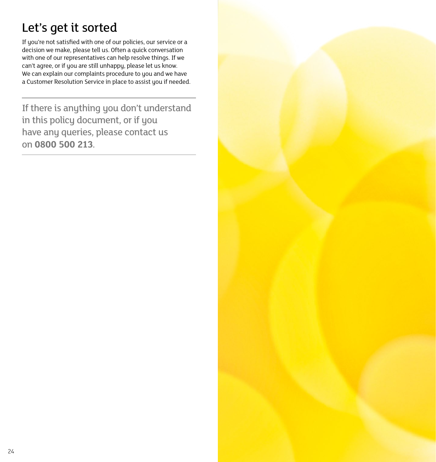# <span id="page-13-0"></span>Let's get it sorted

If you're not satisfied with one of our policies, our service or a decision we make, please tell us. Often a quick conversation with one of our representatives can help resolve things. If we can't agree, or if you are still unhappy, please let us know. We can explain our complaints procedure to you and we have a Customer Resolution Service in place to assist you if needed.

If there is anything you don't understand in this policy document, or if you have any queries, please contact us on **0800 500 213**.  $\frac{1}{200}$  500 213.